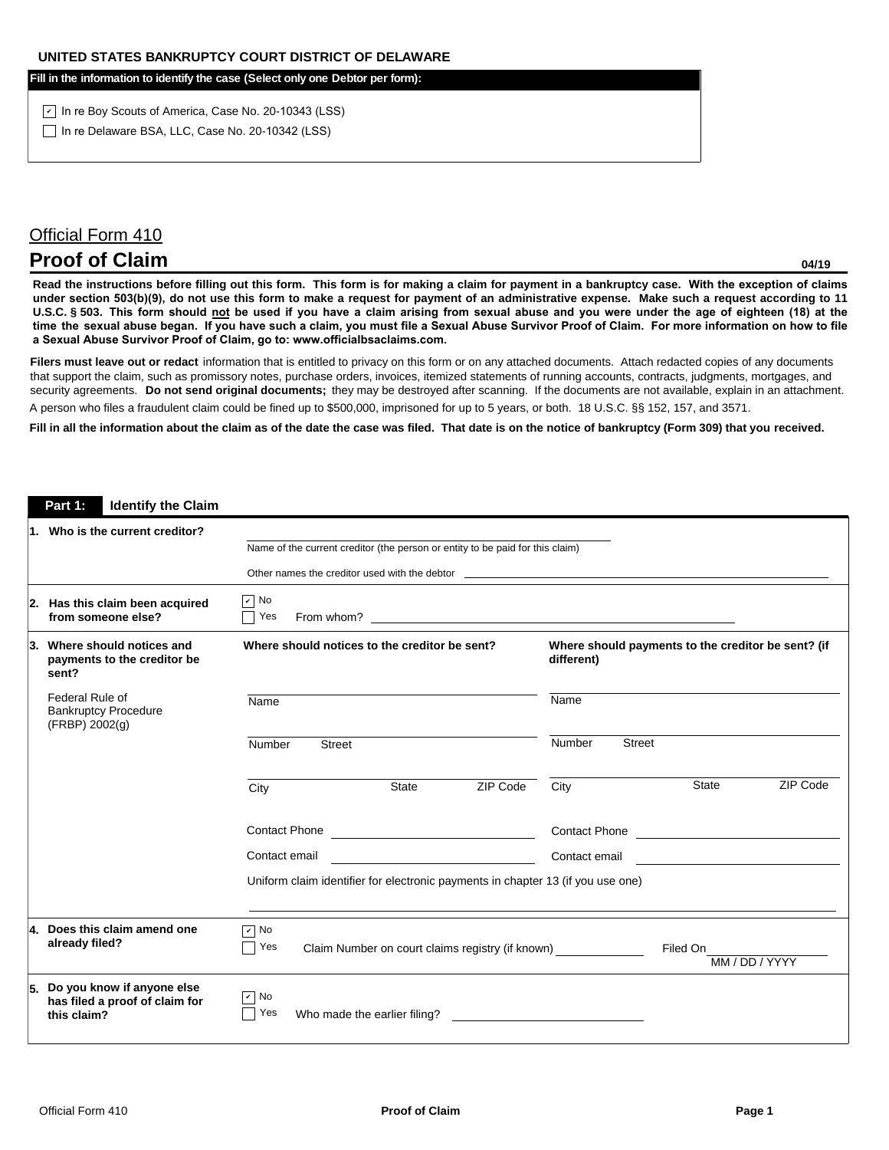**Fill in the information to identify the case (Select only one Debtor per form):**

<u>y</u> In re Boy Scouts of America, Case No. 20-10343 (LSS) In re Delaware BSA, LLC, Case No. 20-10342 (LSS)

## Official Form 410

## **Proof of Claim**

**04/19**

**Read the instructions before filling out this form. This form is for making a claim for payment in a bankruptcy case. With the exception of claims under section 503(b)(9), do not use this form to make a request for payment of an administrative expense. Make such a request according to 11 U.S.C. § 503. This form should not be used if you have a claim arising from sexual abuse and you were under the age of eighteen (18) at the time the sexual abuse began. If you have such a claim, you must file a Sexual Abuse Survivor Proof of Claim. For more information on how to file a Sexual Abuse Survivor Proof of Claim, go to: www.officialbsaclaims.com.** 

Filers must leave out or redact information that is entitled to privacy on this form or on any attached documents. Attach redacted copies of any documents that support the claim, such as promissory notes, purchase orders, invoices, itemized statements of running accounts, contracts, judgments, mortgages, and security agreements. Do not send original documents; they may be destroyed after scanning. If the documents are not available, explain in an attachment. A person who files a fraudulent claim could be fined up to \$500,000, imprisoned for up to 5 years, or both. 18 U.S.C. §§ 152, 157, and 3571.

**Fill in all the information about the claim as of the date the case was filed. That date is on the notice of bankruptcy (Form 309) that you received.**

## **Part 1: Identify the Claim**

| 1. Who is the current creditor?                                                                                                                                                                                                      |                                                                                                                                  |              |                                                                  |                                 |              |          |  |
|--------------------------------------------------------------------------------------------------------------------------------------------------------------------------------------------------------------------------------------|----------------------------------------------------------------------------------------------------------------------------------|--------------|------------------------------------------------------------------|---------------------------------|--------------|----------|--|
|                                                                                                                                                                                                                                      | Name of the current creditor (the person or entity to be paid for this claim)                                                    |              |                                                                  |                                 |              |          |  |
| Other names the creditor used with the debtor <b>example 200 and 200 and 200 and 200 and 200 and 200 and 200 and 200 and 200 and 200 and 200 and 200 and 200 and 200 and 200 and 200 and 200 and 200 and 200 and 200 and 200 and</b> |                                                                                                                                  |              |                                                                  |                                 |              |          |  |
| 2. Has this claim been acquired<br>from someone else?                                                                                                                                                                                | $\sqrt{ }$ No<br>Yes                                                                                                             |              |                                                                  |                                 |              |          |  |
| 3. Where should notices and<br>payments to the creditor be<br>sent?                                                                                                                                                                  | Where should notices to the creditor be sent?                                                                                    |              | Where should payments to the creditor be sent? (if<br>different) |                                 |              |          |  |
| Federal Rule of<br><b>Bankruptcy Procedure</b><br>(FRBP) 2002(g)                                                                                                                                                                     | Name<br>Number<br><b>Street</b>                                                                                                  |              |                                                                  | Name<br>Number<br><b>Street</b> |              |          |  |
|                                                                                                                                                                                                                                      |                                                                                                                                  |              |                                                                  |                                 |              |          |  |
|                                                                                                                                                                                                                                      | City                                                                                                                             | <b>State</b> | ZIP Code                                                         | City                            | <b>State</b> | ZIP Code |  |
|                                                                                                                                                                                                                                      |                                                                                                                                  |              |                                                                  |                                 |              |          |  |
|                                                                                                                                                                                                                                      | <u> 1980 - Johann Barbara, martin d</u><br>Contact email                                                                         |              | Contact email                                                    |                                 |              |          |  |
|                                                                                                                                                                                                                                      | Uniform claim identifier for electronic payments in chapter 13 (if you use one)                                                  |              |                                                                  |                                 |              |          |  |
| 4. Does this claim amend one<br>already filed?                                                                                                                                                                                       | $\boxed{\mathsf{v}}$ No<br>Yes<br>Claim Number on court claims registry (if known) _______________<br>Filed On<br>MM / DD / YYYY |              |                                                                  |                                 |              |          |  |
| 5. Do you know if anyone else<br>has filed a proof of claim for<br>this claim?                                                                                                                                                       | $\boxed{\mathsf{v}}$ No<br>Yes                                                                                                   |              |                                                                  |                                 |              |          |  |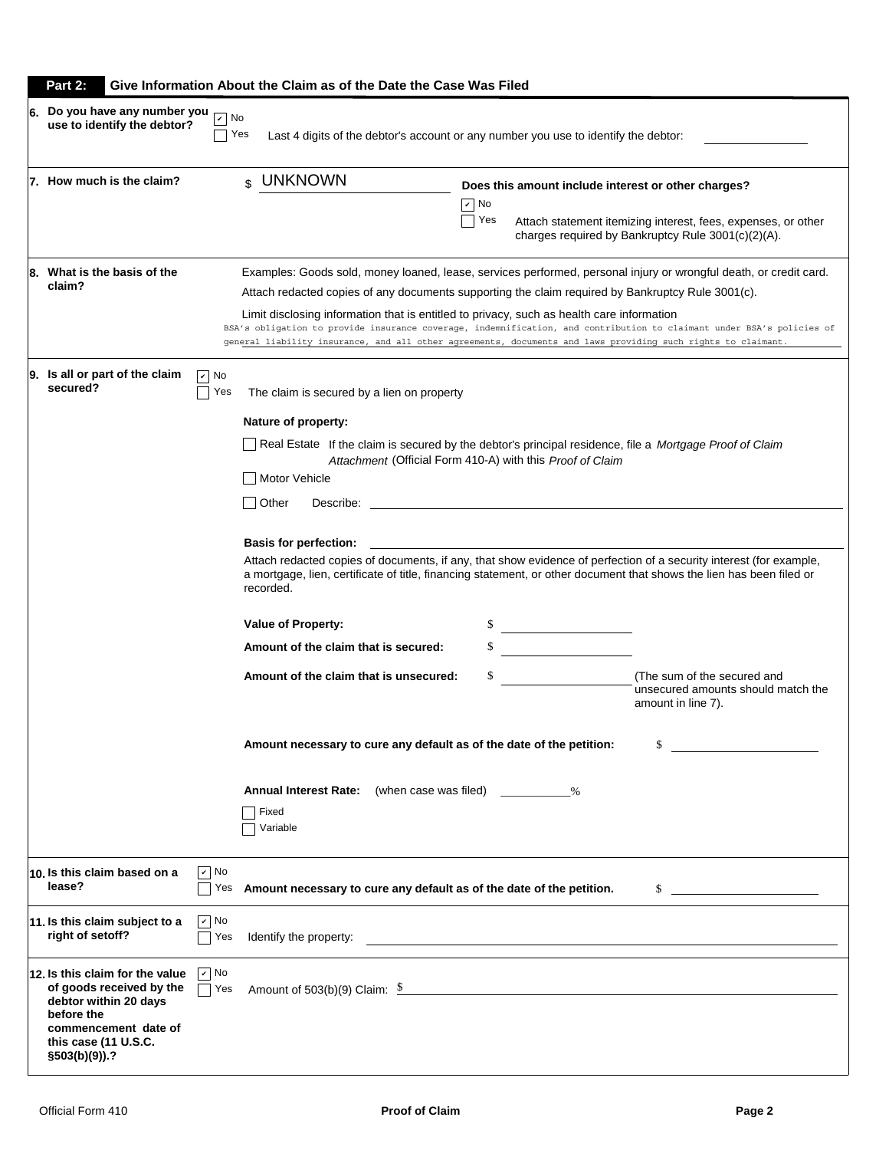| Part 2:<br>Give Information About the Claim as of the Date the Case Was Filed                                                                                                                   |                                                                                                                                                                                                                                                                                                                                                                                                                                                                                                                                         |                                                                                                                                                  |                                                                                                                                                                                                                                                                                                                                                                                               |  |
|-------------------------------------------------------------------------------------------------------------------------------------------------------------------------------------------------|-----------------------------------------------------------------------------------------------------------------------------------------------------------------------------------------------------------------------------------------------------------------------------------------------------------------------------------------------------------------------------------------------------------------------------------------------------------------------------------------------------------------------------------------|--------------------------------------------------------------------------------------------------------------------------------------------------|-----------------------------------------------------------------------------------------------------------------------------------------------------------------------------------------------------------------------------------------------------------------------------------------------------------------------------------------------------------------------------------------------|--|
| 6. Do you have any number you<br>$\vert\mathbf{v}\vert$<br>use to identify the debtor?                                                                                                          | No<br>Yes<br>Last 4 digits of the debtor's account or any number you use to identify the debtor:                                                                                                                                                                                                                                                                                                                                                                                                                                        |                                                                                                                                                  |                                                                                                                                                                                                                                                                                                                                                                                               |  |
| 7. How much is the claim?                                                                                                                                                                       | \$ UNKNOWN                                                                                                                                                                                                                                                                                                                                                                                                                                                                                                                              | $ v $ No<br>Yes                                                                                                                                  | Does this amount include interest or other charges?<br>Attach statement itemizing interest, fees, expenses, or other<br>charges required by Bankruptcy Rule 3001(c)(2)(A).                                                                                                                                                                                                                    |  |
| 8. What is the basis of the<br>claim?                                                                                                                                                           | Attach redacted copies of any documents supporting the claim required by Bankruptcy Rule 3001(c).<br>Limit disclosing information that is entitled to privacy, such as health care information<br>general liability insurance, and all other agreements, documents and laws providing such rights to claimant.                                                                                                                                                                                                                          |                                                                                                                                                  | Examples: Goods sold, money loaned, lease, services performed, personal injury or wrongful death, or credit card.<br>BSA's obligation to provide insurance coverage, indemnification, and contribution to claimant under BSA's policies of                                                                                                                                                    |  |
| 9. Is all or part of the claim<br>$ v $ No<br>secured?<br>Yes                                                                                                                                   | The claim is secured by a lien on property<br>Nature of property:<br>Real Estate If the claim is secured by the debtor's principal residence, file a Mortgage Proof of Claim<br>Motor Vehicle<br>Other<br>Describe:<br><b>Basis for perfection:</b><br>recorded.<br><b>Value of Property:</b><br>Amount of the claim that is secured:<br>Amount of the claim that is unsecured:<br>Amount necessary to cure any default as of the date of the petition:<br><b>Annual Interest Rate:</b> (when case was filed) $\%$<br>Fixed<br>Variable | Attachment (Official Form 410-A) with this Proof of Claim<br><u> 1999 - John Stone, mars et al.</u><br><u> 1989 - Jan Barat, politik e</u><br>\$ | Attach redacted copies of documents, if any, that show evidence of perfection of a security interest (for example,<br>a mortgage, lien, certificate of title, financing statement, or other document that shows the lien has been filed or<br>(The sum of the secured and<br>unsecured amounts should match the<br>amount in line 7).<br>\$<br><u>and the state of the state of the state</u> |  |
| $\sqrt{ }$ No<br>10. Is this claim based on a<br>lease?<br>Yes                                                                                                                                  | Amount necessary to cure any default as of the date of the petition.                                                                                                                                                                                                                                                                                                                                                                                                                                                                    |                                                                                                                                                  | $\sim$                                                                                                                                                                                                                                                                                                                                                                                        |  |
| $\boxed{\mathbf{v}}$ No<br>11. Is this claim subject to a<br>right of setoff?<br>Yes                                                                                                            |                                                                                                                                                                                                                                                                                                                                                                                                                                                                                                                                         |                                                                                                                                                  |                                                                                                                                                                                                                                                                                                                                                                                               |  |
| $\sqrt{ }$ No<br>12. Is this claim for the value<br>of goods received by the<br>Yes<br>debtor within 20 days<br>before the<br>commencement date of<br>this case (11 U.S.C.<br>$\S503(b)(9)$ ).? | Amount of 503(b)(9) Claim: $\frac{\$}{\$}$                                                                                                                                                                                                                                                                                                                                                                                                                                                                                              |                                                                                                                                                  |                                                                                                                                                                                                                                                                                                                                                                                               |  |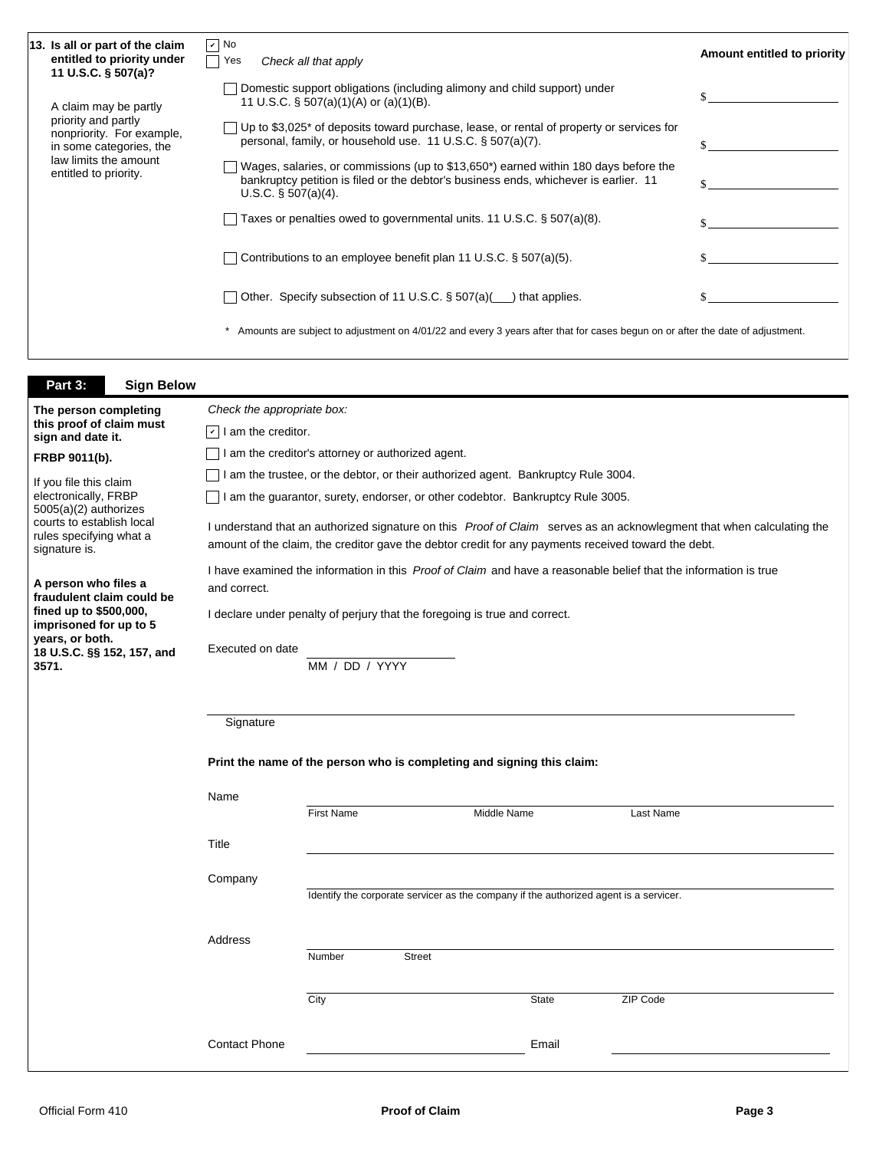| 13. Is all or part of the claim<br>entitled to priority under                                                                 | $\boxed{\mathbf{v}}$ No<br>Yes                                                                                                                                                                                               | Check all that apply                                                                                                                                                                                  |               |             |  |           | Amount entitled to priority |
|-------------------------------------------------------------------------------------------------------------------------------|------------------------------------------------------------------------------------------------------------------------------------------------------------------------------------------------------------------------------|-------------------------------------------------------------------------------------------------------------------------------------------------------------------------------------------------------|---------------|-------------|--|-----------|-----------------------------|
| 11 U.S.C. § 507(a)?<br>A claim may be partly                                                                                  |                                                                                                                                                                                                                              | Domestic support obligations (including alimony and child support) under<br>\$<br>11 U.S.C. $\S$ 507(a)(1)(A) or (a)(1)(B).                                                                           |               |             |  |           |                             |
| priority and partly<br>nonpriority. For example,<br>in some categories, the                                                   |                                                                                                                                                                                                                              | Up to \$3,025* of deposits toward purchase, lease, or rental of property or services for<br>personal, family, or household use. 11 U.S.C. § 507(a)(7).<br>\$                                          |               |             |  |           |                             |
| law limits the amount<br>entitled to priority.                                                                                |                                                                                                                                                                                                                              | Wages, salaries, or commissions (up to \$13,650*) earned within 180 days before the<br>bankruptcy petition is filed or the debtor's business ends, whichever is earlier. 11<br>U.S.C. $\S$ 507(a)(4). |               |             |  |           |                             |
|                                                                                                                               |                                                                                                                                                                                                                              | Taxes or penalties owed to governmental units. 11 U.S.C. § 507(a)(8).                                                                                                                                 |               |             |  |           |                             |
|                                                                                                                               |                                                                                                                                                                                                                              | Contributions to an employee benefit plan 11 U.S.C. § 507(a)(5).                                                                                                                                      |               |             |  |           |                             |
| Other. Specify subsection of 11 U.S.C. § 507(a)( <sub>11</sub> ) that applies.                                                |                                                                                                                                                                                                                              |                                                                                                                                                                                                       |               |             |  | \$        |                             |
| Amounts are subject to adjustment on 4/01/22 and every 3 years after that for cases begun on or after the date of adjustment. |                                                                                                                                                                                                                              |                                                                                                                                                                                                       |               |             |  |           |                             |
| Part 3:<br><b>Sign Below</b>                                                                                                  |                                                                                                                                                                                                                              |                                                                                                                                                                                                       |               |             |  |           |                             |
| The person completing                                                                                                         | Check the appropriate box:                                                                                                                                                                                                   |                                                                                                                                                                                                       |               |             |  |           |                             |
| this proof of claim must                                                                                                      | $ \mathbf{v} $ I am the creditor.                                                                                                                                                                                            |                                                                                                                                                                                                       |               |             |  |           |                             |
| sign and date it.<br>I am the creditor's attorney or authorized agent.                                                        |                                                                                                                                                                                                                              |                                                                                                                                                                                                       |               |             |  |           |                             |
| FRBP 9011(b).                                                                                                                 |                                                                                                                                                                                                                              |                                                                                                                                                                                                       |               |             |  |           |                             |
| If you file this claim                                                                                                        | I am the trustee, or the debtor, or their authorized agent. Bankruptcy Rule 3004.                                                                                                                                            |                                                                                                                                                                                                       |               |             |  |           |                             |
| electronically, FRBP<br>$5005(a)(2)$ authorizes                                                                               | I am the guarantor, surety, endorser, or other codebtor. Bankruptcy Rule 3005.                                                                                                                                               |                                                                                                                                                                                                       |               |             |  |           |                             |
| courts to establish local<br>rules specifying what a<br>signature is.                                                         | I understand that an authorized signature on this Proof of Claim serves as an acknowlegment that when calculating the<br>amount of the claim, the creditor gave the debtor credit for any payments received toward the debt. |                                                                                                                                                                                                       |               |             |  |           |                             |
| A person who files a                                                                                                          | I have examined the information in this <i>Proof of Claim</i> and have a reasonable belief that the information is true<br>and correct.                                                                                      |                                                                                                                                                                                                       |               |             |  |           |                             |
| fraudulent claim could be<br>fined up to \$500,000,<br>imprisoned for up to 5                                                 | I declare under penalty of perjury that the foregoing is true and correct.                                                                                                                                                   |                                                                                                                                                                                                       |               |             |  |           |                             |
| years, or both.                                                                                                               | Executed on date                                                                                                                                                                                                             |                                                                                                                                                                                                       |               |             |  |           |                             |
| 18 U.S.C. §§ 152, 157, and<br>3571.                                                                                           |                                                                                                                                                                                                                              | MM / DD / YYYY                                                                                                                                                                                        |               |             |  |           |                             |
|                                                                                                                               | Signature<br>Print the name of the person who is completing and signing this claim:                                                                                                                                          |                                                                                                                                                                                                       |               |             |  |           |                             |
|                                                                                                                               |                                                                                                                                                                                                                              |                                                                                                                                                                                                       |               |             |  |           |                             |
|                                                                                                                               | Name                                                                                                                                                                                                                         | <b>First Name</b>                                                                                                                                                                                     |               | Middle Name |  | Last Name |                             |
|                                                                                                                               |                                                                                                                                                                                                                              |                                                                                                                                                                                                       |               |             |  |           |                             |
|                                                                                                                               | Title                                                                                                                                                                                                                        |                                                                                                                                                                                                       |               |             |  |           |                             |
|                                                                                                                               | Company<br>Identify the corporate servicer as the company if the authorized agent is a servicer.<br>Address                                                                                                                  |                                                                                                                                                                                                       |               |             |  |           |                             |
|                                                                                                                               |                                                                                                                                                                                                                              |                                                                                                                                                                                                       |               |             |  |           |                             |
|                                                                                                                               |                                                                                                                                                                                                                              |                                                                                                                                                                                                       |               |             |  |           |                             |
|                                                                                                                               |                                                                                                                                                                                                                              | Number                                                                                                                                                                                                | <b>Street</b> |             |  |           |                             |

| <b>Contact Phone</b> | Email |
|----------------------|-------|

City State ZIP Code